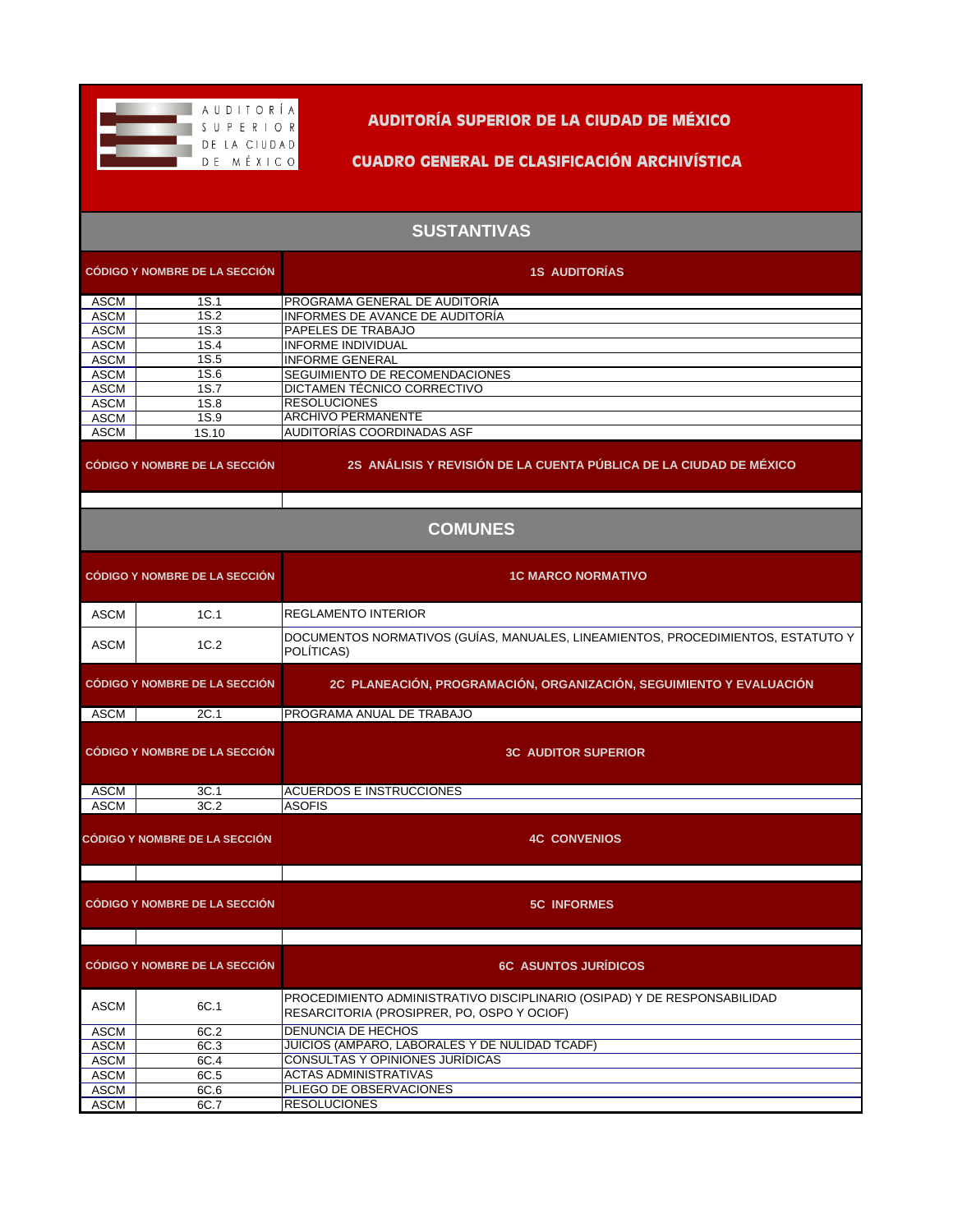

**AUDITORÍA SUPERIOR DE LA CIUDAD DE MÉXICO**

**CUADRO GENERAL DE CLASIFICACIÓN ARCHIVÍSTICA**

## **SUSTANTIVAS**

|                            | <b>CÓDIGO Y NOMBRE DE LA SECCIÓN</b> | <b>1S AUDITORIAS</b>                                                                                                   |  |  |
|----------------------------|--------------------------------------|------------------------------------------------------------------------------------------------------------------------|--|--|
| <b>ASCM</b>                | 1S.1                                 | PROGRAMA GENERAL DE AUDITORÍA                                                                                          |  |  |
| <b>ASCM</b>                | 1S.2                                 | INFORMES DE AVANCE DE AUDITORÍA                                                                                        |  |  |
| <b>ASCM</b>                | 1S.3                                 | PAPELES DE TRABAJO                                                                                                     |  |  |
| <b>ASCM</b>                | 1S.4                                 | INFORME INDIVIDUAL                                                                                                     |  |  |
| <b>ASCM</b>                | 1S.5                                 | <b>INFORME GENERAL</b>                                                                                                 |  |  |
| <b>ASCM</b>                | 1S.6                                 | SEGUIMIENTO DE RECOMENDACIONES                                                                                         |  |  |
| <b>ASCM</b>                | 1S.7                                 | DICTAMEN TÉCNICO CORRECTIVO<br><b>RESOLUCIONES</b>                                                                     |  |  |
| <b>ASCM</b>                | 1S.8                                 | <b>ARCHIVO PERMANENTE</b>                                                                                              |  |  |
| <b>ASCM</b><br><b>ASCM</b> | 1S.9<br>1S.10                        | AUDITORÍAS COORDINADAS ASF                                                                                             |  |  |
|                            |                                      |                                                                                                                        |  |  |
|                            | <b>CÓDIGO Y NOMBRE DE LA SECCIÓN</b> | 2S ANÁLISIS Y REVISIÓN DE LA CUENTA PÚBLICA DE LA CIUDAD DE MÉXICO                                                     |  |  |
| <b>COMUNES</b>             |                                      |                                                                                                                        |  |  |
|                            | <b>CÓDIGO Y NOMBRE DE LA SECCIÓN</b> | <b>1C MARCO NORMATIVO</b>                                                                                              |  |  |
| <b>ASCM</b>                | 1C.1                                 | <b>REGLAMENTO INTERIOR</b>                                                                                             |  |  |
| <b>ASCM</b>                | 1C.2                                 | DOCUMENTOS NORMATIVOS (GUÍAS, MANUALES, LINEAMIENTOS, PROCEDIMIENTOS, ESTATUTO Y<br>POLÍTICAS)                         |  |  |
|                            | <b>CÓDIGO Y NOMBRE DE LA SECCIÓN</b> | 2C PLANEACIÓN, PROGRAMACIÓN, ORGANIZACIÓN, SEGUIMIENTO Y EVALUACIÓN                                                    |  |  |
| ASCM                       | 2C.1                                 | PROGRAMA ANUAL DE TRABAJO                                                                                              |  |  |
|                            | <b>CÓDIGO Y NOMBRE DE LA SECCIÓN</b> | <b>3C AUDITOR SUPERIOR</b>                                                                                             |  |  |
| ASCM                       | 3C.1                                 | <b>ACUERDOS E INSTRUCCIONES</b>                                                                                        |  |  |
| <b>ASCM</b>                | 3C.2                                 | <b>ASOFIS</b>                                                                                                          |  |  |
|                            | <b>CÓDIGO Y NOMBRE DE LA SECCIÓN</b> | <b>4C CONVENIOS</b>                                                                                                    |  |  |
|                            | <b>CÓDIGO Y NOMBRE DE LA SECCIÓN</b> | <b>5C INFORMES</b>                                                                                                     |  |  |
|                            | <b>CÓDIGO Y NOMBRE DE LA SECCIÓN</b> | <b>6C ASUNTOS JURÍDICOS</b>                                                                                            |  |  |
| <b>ASCM</b>                | 6C.1                                 | PROCEDIMIENTO ADMINISTRATIVO DISCIPLINARIO (OSIPAD) Y DE RESPONSABILIDAD<br>RESARCITORIA (PROSIPRER, PO, OSPO Y OCIOF) |  |  |
| <b>ASCM</b>                | 6C.2                                 | <b>DENUNCIA DE HECHOS</b>                                                                                              |  |  |
| <b>ASCM</b>                | 6C.3                                 | JUICIOS (AMPARO, LABORALES Y DE NULIDAD TCADF)                                                                         |  |  |
| <b>ASCM</b>                | 6C.4                                 | <b>CONSULTAS Y OPINIONES JURIDICAS</b>                                                                                 |  |  |
| <b>ASCM</b>                | 6C.5                                 | <b>ACTAS ADMINISTRATIVAS</b>                                                                                           |  |  |
| <b>ASCM</b>                | 6C.6                                 | PLIEGO DE OBSERVACIONES                                                                                                |  |  |
| <b>ASCM</b>                | 6C.7                                 | <b>RESOLUCIONES</b>                                                                                                    |  |  |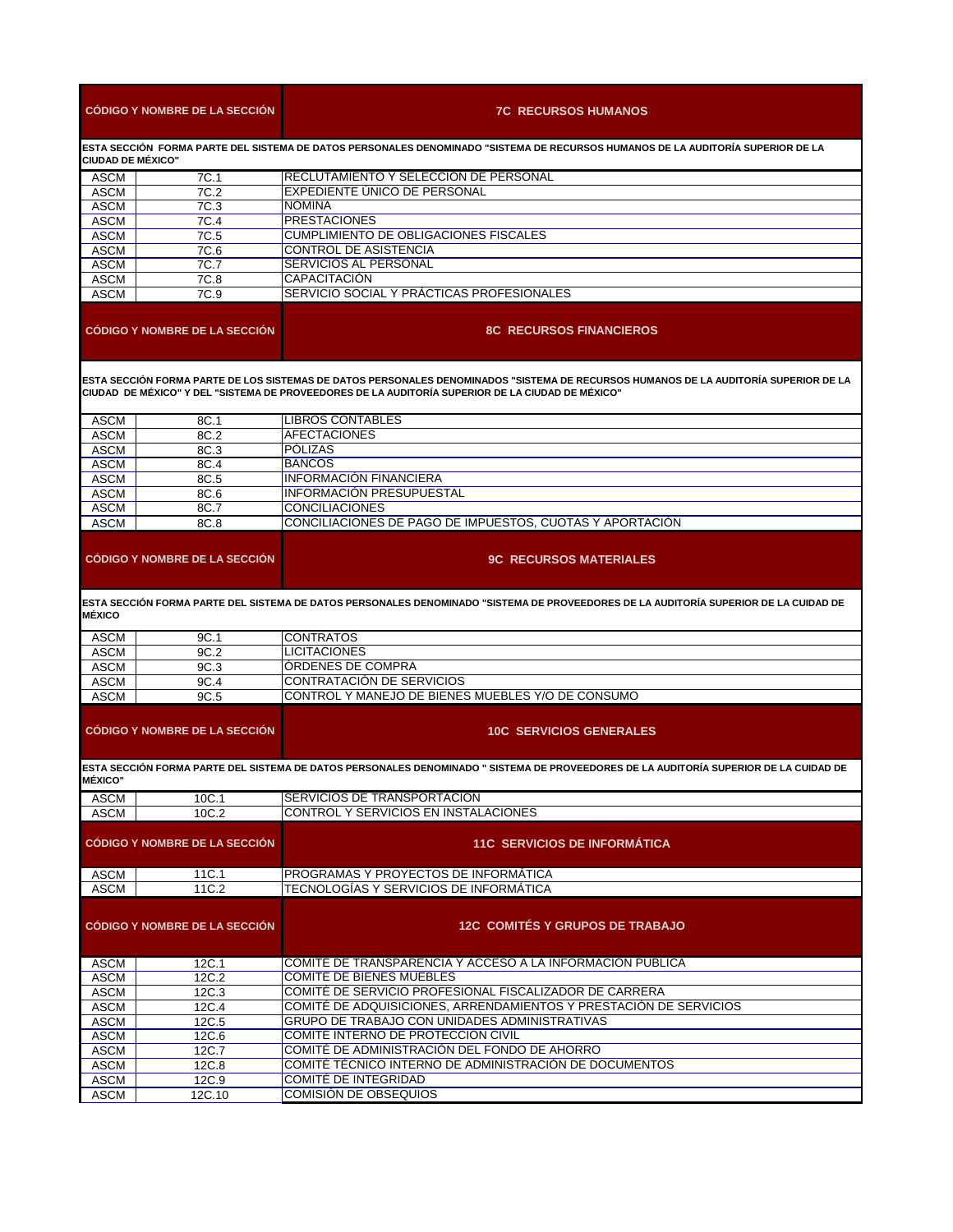| <b>CÓDIGO Y NOMBRE DE LA SECCIÓN</b>                                                                                                                                                                                                     |                                      | <b>7C RECURSOS HUMANOS</b>                                                                                                            |  |  |
|------------------------------------------------------------------------------------------------------------------------------------------------------------------------------------------------------------------------------------------|--------------------------------------|---------------------------------------------------------------------------------------------------------------------------------------|--|--|
| ESTA SECCIÓN  FORMA PARTE DEL SISTEMA DE DATOS PERSONALES DENOMINADO "SISTEMA DE RECURSOS HUMANOS DE LA AUDITORÍA SUPERIOR DE LA<br><b>CIUDAD DE MÉXICO"</b>                                                                             |                                      |                                                                                                                                       |  |  |
| ASCM                                                                                                                                                                                                                                     | 7C.1                                 | RECLUTAMIENTO Y SELECCION DE PERSONAL                                                                                                 |  |  |
| <b>ASCM</b>                                                                                                                                                                                                                              | 7C.2                                 | EXPEDIENTE UNICO DE PERSONAL                                                                                                          |  |  |
| <b>ASCM</b>                                                                                                                                                                                                                              | 7C.3                                 | <b>NÓMINA</b>                                                                                                                         |  |  |
| <b>ASCM</b>                                                                                                                                                                                                                              | 7C.4                                 | <b>PRESTACIONES</b>                                                                                                                   |  |  |
| <b>ASCM</b>                                                                                                                                                                                                                              | 7C.5                                 | <b>CUMPLIMIENTO DE OBLIGACIONES FISCALES</b>                                                                                          |  |  |
| <b>ASCM</b>                                                                                                                                                                                                                              | 7C.6                                 | <b>CONTROL DE ASISTENCIA</b>                                                                                                          |  |  |
| <b>ASCM</b>                                                                                                                                                                                                                              | 7C.7                                 | SERVICIOS AL PERSONAL                                                                                                                 |  |  |
| <b>ASCM</b><br><b>ASCM</b>                                                                                                                                                                                                               | 7C.8<br>7C.9                         | <b>CAPACITACIÓN</b><br>SERVICIO SOCIAL Y PRÁCTICAS PROFESIONALES                                                                      |  |  |
|                                                                                                                                                                                                                                          | <b>CODIGO Y NOMBRE DE LA SECCIÓN</b> | <b>8C RECURSOS FINANCIEROS</b>                                                                                                        |  |  |
| ESTA SECCIÓN FORMA PARTE DE LOS SISTEMAS DE DATOS PERSONALES DENOMINADOS "SISTEMA DE RECURSOS HUMANOS DE LA AUDITORÍA SUPERIOR DE LA<br>"CIUDAD_DE MÉXICO" Y DEL "SISTEMA DE PROVEEDORES DE LA AUDITORÍA SUPERIOR DE LA CIUDAD DE MÉXICO |                                      |                                                                                                                                       |  |  |
| ASCM                                                                                                                                                                                                                                     | 8C.1                                 | LIBROS CONTABLES                                                                                                                      |  |  |
| ASCM                                                                                                                                                                                                                                     | 8C.2                                 | <b>AFECTACIONES</b>                                                                                                                   |  |  |
| <b>ASCM</b>                                                                                                                                                                                                                              | 8C.3                                 | <b>POLIZAS</b>                                                                                                                        |  |  |
| <b>ASCM</b>                                                                                                                                                                                                                              | 8C.4                                 | <b>BANCOS</b>                                                                                                                         |  |  |
| ASCM                                                                                                                                                                                                                                     | 8C.5                                 | <b>INFORMACIÓN FINANCIERA</b>                                                                                                         |  |  |
| ASCM                                                                                                                                                                                                                                     | 8C.6                                 | INFORMACIÓN PRESUPUESTAL                                                                                                              |  |  |
| ASCM                                                                                                                                                                                                                                     | 8C.7                                 | <b>CONCILIACIONES</b>                                                                                                                 |  |  |
| <b>ASCM</b>                                                                                                                                                                                                                              | 8C.8                                 | CONCILIACIONES DE PAGO DE IMPUESTOS. CUOTAS Y APORTACIÓN                                                                              |  |  |
|                                                                                                                                                                                                                                          | <b>CODIGO Y NOMBRE DE LA SECCIÓN</b> | <b>9C RECURSOS MATERIALES</b>                                                                                                         |  |  |
| <b>MÉXICO</b>                                                                                                                                                                                                                            |                                      | IESTA SECCIÓN FORMA PARTE DEL SISTEMA DE DATOS PERSONALES DENOMINADO "SISTEMA DE PROVEEDORES DE LA AUDITORÍA SUPERIOR DE LA CUIDAD DE |  |  |
| ASCM                                                                                                                                                                                                                                     | 9C.1                                 | <b>CONTRATOS</b>                                                                                                                      |  |  |
| ASCM                                                                                                                                                                                                                                     | 9C.2                                 | <b>LICITACIONES</b>                                                                                                                   |  |  |
| <b>ASCM</b>                                                                                                                                                                                                                              | 9C.3                                 | <b>ORDENES DE COMPRA</b>                                                                                                              |  |  |
| <b>ASCM</b>                                                                                                                                                                                                                              | 9C.4                                 | CONTRATACIÓN DE SERVICIOS                                                                                                             |  |  |
| <b>ASCM</b>                                                                                                                                                                                                                              | 9C.5                                 | CONTROL Y MANEJO DE BIENES MUEBLES Y/O DE CONSUMO                                                                                     |  |  |
|                                                                                                                                                                                                                                          | <b>CODIGO Y NOMBRE DE LA SECCIÓN</b> | <b>10C SERVICIOS GENERALES</b>                                                                                                        |  |  |
| <b>MÉXICO"</b>                                                                                                                                                                                                                           |                                      | ESTA SECCIÓN FORMA PARTE DEL SISTEMA DE DATOS PERSONALES DENOMINADO " SISTEMA DE PROVEEDORES DE LA AUDITORÍA SUPERIOR DE LA CUIDAD DE |  |  |
| <b>ASCM</b>                                                                                                                                                                                                                              | 10C.1                                | SERVICIOS DE TRANSPORTACION                                                                                                           |  |  |
| <b>ASCM</b>                                                                                                                                                                                                                              | 10C.2                                | CONTROL Y SERVICIOS EN INSTALACIONES                                                                                                  |  |  |
|                                                                                                                                                                                                                                          | <b>CÓDIGO Y NOMBRE DE LA SECCIÓN</b> | <b>11C SERVICIOS DE INFORMÁTICA</b>                                                                                                   |  |  |
| ASCM                                                                                                                                                                                                                                     | 11C.1                                | PROGRAMAS Y PROYECTOS DE INFORMATICA                                                                                                  |  |  |
| <b>ASCM</b>                                                                                                                                                                                                                              | 11C.2                                | TECNOLOGÍAS Y SERVICIOS DE INFORMÁTICA                                                                                                |  |  |
| <b>CÓDIGO Y NOMBRE DE LA SECCIÓN</b>                                                                                                                                                                                                     |                                      | <b>12C COMITÉS Y GRUPOS DE TRABAJO</b>                                                                                                |  |  |
| <b>ASCM</b>                                                                                                                                                                                                                              | 12C.1                                | COMITÉ DE TRANSPARENCIA Y ACCESO A LA INFORMACIÓN PUBLICA                                                                             |  |  |
| <b>ASCM</b>                                                                                                                                                                                                                              | 12C.2                                | COMITÉ DE BIENES MUEBLES                                                                                                              |  |  |
| <b>ASCM</b>                                                                                                                                                                                                                              | 12C.3                                | COMITÉ DE SERVICIO PROFESIONAL FISCALIZADOR DE CARRERA                                                                                |  |  |
| ASCM                                                                                                                                                                                                                                     | 12C.4                                | COMITÉ DE ADQUISICIONES, ARRENDAMIENTOS Y PRESTACIÓN DE SERVICIOS                                                                     |  |  |
| <b>ASCM</b>                                                                                                                                                                                                                              | 12C.5                                | GRUPO DE TRABAJO CON UNIDADES ADMINISTRATIVAS                                                                                         |  |  |
| <b>ASCM</b>                                                                                                                                                                                                                              | 12C.6                                | COMITÉ INTERNO DE PROTECCIÓN CIVIL                                                                                                    |  |  |
| <b>ASCM</b>                                                                                                                                                                                                                              | 12C.7                                | COMITÉ DE ADMINISTRACIÓN DEL FONDO DE AHORRO                                                                                          |  |  |
| <b>ASCM</b>                                                                                                                                                                                                                              | 12C.8                                | COMITÉ TÉCNICO INTERNO DE ADMINISTRACIÓN DE DOCUMENTOS                                                                                |  |  |
| <b>ASCM</b>                                                                                                                                                                                                                              | 12C.9                                | COMITÉ DE INTEGRIDAD<br><b>COMISIÓN DE OBSEQUIOS</b>                                                                                  |  |  |
| <b>ASCM</b>                                                                                                                                                                                                                              | 12C.10                               |                                                                                                                                       |  |  |